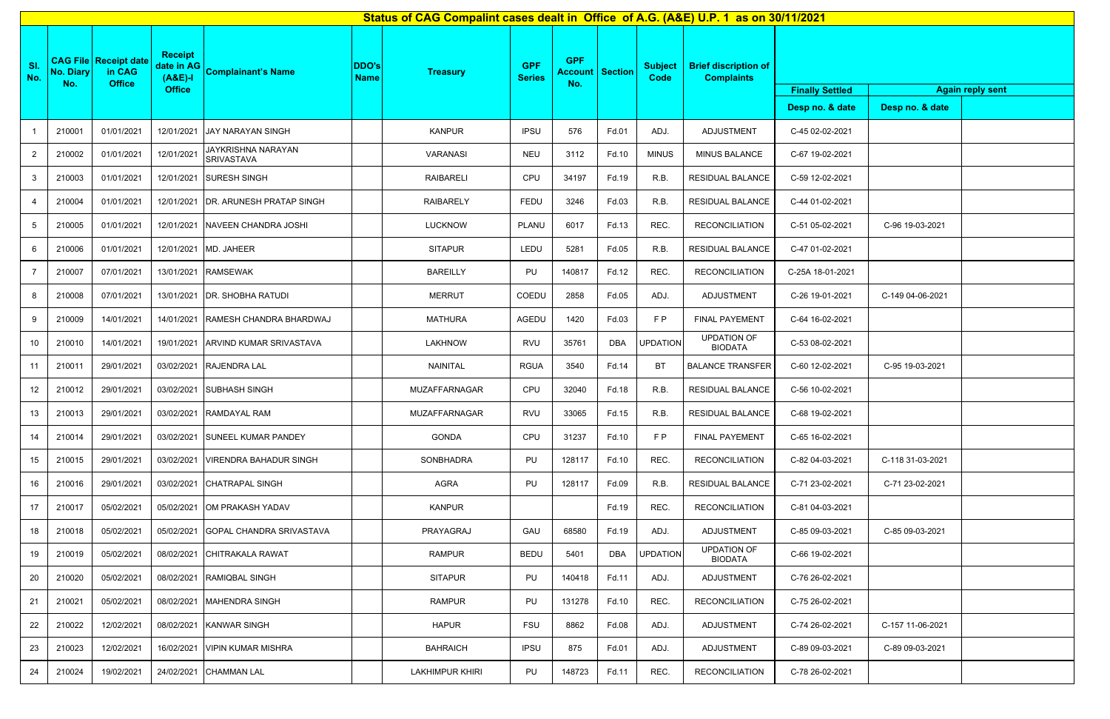|            | Status of CAG Compalint cases dealt in Office of A.G. (A&E) U.P. 1 as on 30/11/2021 |                                                           |                                                            |                                                    |                             |                        |                             |                   |                            |                               |                                                  |                                           |                                            |
|------------|-------------------------------------------------------------------------------------|-----------------------------------------------------------|------------------------------------------------------------|----------------------------------------------------|-----------------------------|------------------------|-----------------------------|-------------------|----------------------------|-------------------------------|--------------------------------------------------|-------------------------------------------|--------------------------------------------|
| SI.<br>No. | <b>No. Diary</b><br>No.                                                             | <b>CAG File   Receipt date</b><br>in CAG<br><b>Office</b> | <b>Receipt</b><br>date in AG<br>$(A&E)-I$<br><b>Office</b> | <b>Complainant's Name</b>                          | <b>DDO's</b><br><b>Name</b> | <b>Treasury</b>        | <b>GPF</b><br><b>Series</b> | <b>GPF</b><br>No. | <b>Account   Section  </b> | <b>Subject</b><br><b>Code</b> | <b>Brief discription of</b><br><b>Complaints</b> | <b>Finally Settled</b><br>Desp no. & date | <b>Again reply sent</b><br>Desp no. & date |
|            |                                                                                     | 01/01/2021                                                |                                                            |                                                    |                             | <b>KANPUR</b>          |                             | 576               |                            |                               | ADJUSTMENT                                       | C-45 02-02-2021                           |                                            |
|            | 210001                                                                              |                                                           |                                                            | 12/01/2021 JAY NARAYAN SINGH<br>JAYKRISHNA NARAYAN |                             |                        | <b>IPSU</b>                 |                   | Fd.01                      | ADJ.                          |                                                  |                                           |                                            |
| 2          | 210002                                                                              | 01/01/2021                                                | 12/01/2021                                                 | <b>SRIVASTAVA</b>                                  |                             | <b>VARANASI</b>        | <b>NEU</b>                  | 3112              | Fd.10                      | <b>MINUS</b>                  | MINUS BALANCE                                    | C-67 19-02-2021                           |                                            |
| 3          | 210003                                                                              | 01/01/2021                                                |                                                            | 12/01/2021 SURESH SINGH                            |                             | <b>RAIBARELI</b>       | CPU                         | 34197             | Fd.19                      | R.B.                          | RESIDUAL BALANCE                                 | C-59 12-02-2021                           |                                            |
| 4          | 210004                                                                              | 01/01/2021                                                |                                                            | 12/01/2021 DR. ARUNESH PRATAP SINGH                |                             | <b>RAIBARELY</b>       | FEDU                        | 3246              | Fd.03                      | R.B.                          | RESIDUAL BALANCE                                 | C-44 01-02-2021                           |                                            |
| 5          | 210005                                                                              | 01/01/2021                                                | 12/01/2021                                                 | NAVEEN CHANDRA JOSHI                               |                             | LUCKNOW                | PLANU                       | 6017              | Fd.13                      | REC.                          | <b>RECONCILIATION</b>                            | C-51 05-02-2021                           | C-96 19-03-2021                            |
| 6          | 210006                                                                              | 01/01/2021                                                |                                                            | 12/01/2021 MD. JAHEER                              |                             | <b>SITAPUR</b>         | LEDU                        | 5281              | Fd.05                      | R.B.                          | RESIDUAL BALANCE                                 | C-47 01-02-2021                           |                                            |
|            | 210007                                                                              | 07/01/2021                                                |                                                            | 13/01/2021 RAMSEWAK                                |                             | <b>BAREILLY</b>        | PU                          | 140817            | Fd.12                      | REC.                          | <b>RECONCILIATION</b>                            | C-25A 18-01-2021                          |                                            |
| 8          | 210008                                                                              | 07/01/2021                                                |                                                            | 13/01/2021   DR. SHOBHA RATUDI                     |                             | <b>MERRUT</b>          | COEDU                       | 2858              | Fd.05                      | ADJ.                          | ADJUSTMENT                                       | C-26 19-01-2021                           | C-149 04-06-2021                           |
| 9          | 210009                                                                              | 14/01/2021                                                |                                                            | 14/01/2021 RAMESH CHANDRA BHARDWAJ                 |                             | <b>MATHURA</b>         | AGEDU                       | 1420              | Fd.03                      | FP                            | FINAL PAYEMENT                                   | C-64 16-02-2021                           |                                            |
| 10         | 210010                                                                              | 14/01/2021                                                | 19/01/2021                                                 | ARVIND KUMAR SRIVASTAVA                            |                             | <b>LAKHNOW</b>         | <b>RVU</b>                  | 35761             | <b>DBA</b>                 | <b>UPDATION</b>               | <b>UPDATION OF</b><br><b>BIODATA</b>             | C-53 08-02-2021                           |                                            |
| 11         | 210011                                                                              | 29/01/2021                                                |                                                            | 03/02/2021 RAJENDRA LAL                            |                             | NAINITAL               | <b>RGUA</b>                 | 3540              | Fd.14                      | <b>BT</b>                     | <b>BALANCE TRANSFER</b>                          | C-60 12-02-2021                           | C-95 19-03-2021                            |
| 12         | 210012                                                                              | 29/01/2021                                                |                                                            | 03/02/2021 SUBHASH SINGH                           |                             | MUZAFFARNAGAR          | CPU                         | 32040             | Fd.18                      | R.B.                          | <b>RESIDUAL BALANCE</b>                          | C-56 10-02-2021                           |                                            |
| 13         | 210013                                                                              | 29/01/2021                                                |                                                            | 03/02/2021 RAMDAYAL RAM                            |                             | MUZAFFARNAGAR          | <b>RVU</b>                  | 33065             | Fd.15                      | R.B.                          | RESIDUAL BALANCE                                 | C-68 19-02-2021                           |                                            |
| 14         | 210014                                                                              | 29/01/2021                                                | 03/02/2021                                                 | <b>ISUNEEL KUMAR PANDEY</b>                        |                             | <b>GONDA</b>           | CPU                         | 31237             | Fd.10                      | F P                           | <b>FINAL PAYEMENT</b>                            | C-65 16-02-2021                           |                                            |
| 15         | 210015                                                                              | 29/01/2021                                                | 03/02/2021                                                 | <b>VIRENDRA BAHADUR SINGH</b>                      |                             | SONBHADRA              | PU                          | 128117            | Fd.10                      | REC.                          | <b>RECONCILIATION</b>                            | C-82 04-03-2021                           | C-118 31-03-2021                           |
| 16         | 210016                                                                              | 29/01/2021                                                |                                                            | 03/02/2021 CHATRAPAL SINGH                         |                             | AGRA                   | PU                          | 128117            | Fd.09                      | R.B.                          | <b>RESIDUAL BALANCE</b>                          | C-71 23-02-2021                           | C-71 23-02-2021                            |
| 17         | 210017                                                                              | 05/02/2021                                                | 05/02/2021                                                 | <b>IOM PRAKASH YADAV</b>                           |                             | <b>KANPUR</b>          |                             |                   | Fd.19                      | REC.                          | <b>RECONCILIATION</b>                            | C-81 04-03-2021                           |                                            |
| 18         | 210018                                                                              | 05/02/2021                                                | 05/02/2021                                                 | <b>IGOPAL CHANDRA SRIVASTAVA</b>                   |                             | PRAYAGRAJ              | GAU                         | 68580             | Fd.19                      | ADJ.                          | ADJUSTMENT                                       | C-85 09-03-2021                           | C-85 09-03-2021                            |
| 19         | 210019                                                                              | 05/02/2021                                                |                                                            | 08/02/2021 CHITRAKALA RAWAT                        |                             | <b>RAMPUR</b>          | <b>BEDU</b>                 | 5401              | DBA                        | <b>UPDATION</b>               | <b>UPDATION OF</b><br><b>BIODATA</b>             | C-66 19-02-2021                           |                                            |
| 20         | 210020                                                                              | 05/02/2021                                                | 08/02/2021                                                 | <b>RAMIQBAL SINGH</b>                              |                             | <b>SITAPUR</b>         | PU                          | 140418            | Fd.11                      | ADJ.                          | ADJUSTMENT                                       | C-76 26-02-2021                           |                                            |
| 21         | 210021                                                                              | 05/02/2021                                                | 08/02/2021                                                 | MAHENDRA SINGH                                     |                             | <b>RAMPUR</b>          | PU                          | 131278            | Fd.10                      | REC.                          | <b>RECONCILIATION</b>                            | C-75 26-02-2021                           |                                            |
| 22         | 210022                                                                              | 12/02/2021                                                |                                                            | 08/02/2021 KANWAR SINGH                            |                             | <b>HAPUR</b>           | <b>FSU</b>                  | 8862              | Fd.08                      | ADJ.                          | ADJUSTMENT                                       | C-74 26-02-2021                           | C-157 11-06-2021                           |
| 23         | 210023                                                                              | 12/02/2021                                                | 16/02/2021                                                 | <b>VIPIN KUMAR MISHRA</b>                          |                             | <b>BAHRAICH</b>        | <b>IPSU</b>                 | 875               | Fd.01                      | ADJ.                          | ADJUSTMENT                                       | C-89 09-03-2021                           | C-89 09-03-2021                            |
| 24         | 210024                                                                              | 19/02/2021                                                | 24/02/2021                                                 | <b>CHAMMAN LAL</b>                                 |                             | <b>LAKHIMPUR KHIRI</b> | PU                          | 148723            | Fd.11                      | REC.                          | <b>RECONCILIATION</b>                            | C-78 26-02-2021                           |                                            |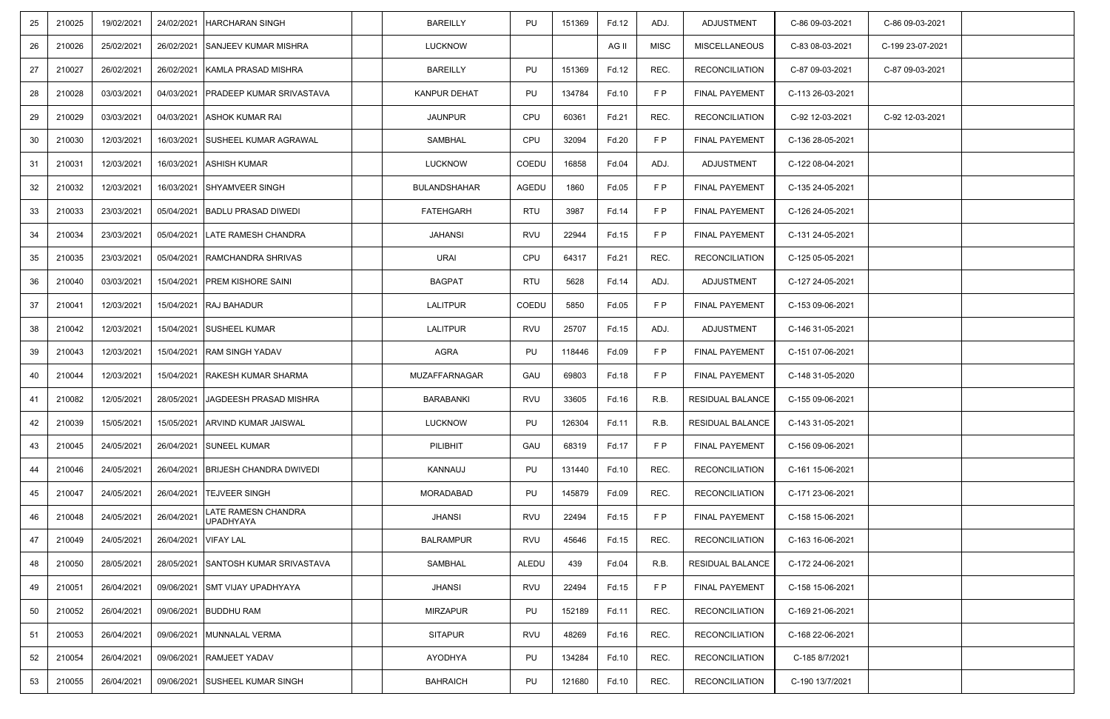| 25 | 210025 | 19/02/2021 | 24/02/2021           | <b>HARCHARAN SINGH</b>                | <b>BAREILLY</b>     | PU         | 151369 | Fd.12 | ADJ.        | ADJUSTMENT              | C-86 09-03-2021  | C-86 09-03-2021  |  |
|----|--------|------------|----------------------|---------------------------------------|---------------------|------------|--------|-------|-------------|-------------------------|------------------|------------------|--|
| 26 | 210026 | 25/02/2021 | 26/02/2021           | <b>SANJEEV KUMAR MISHRA</b>           | <b>LUCKNOW</b>      |            |        | AG II | <b>MISC</b> | <b>MISCELLANEOUS</b>    | C-83 08-03-2021  | C-199 23-07-2021 |  |
| 27 | 210027 | 26/02/2021 |                      | 26/02/2021 KAMLA PRASAD MISHRA        | <b>BAREILLY</b>     | PU         | 151369 | Fd.12 | REC.        | <b>RECONCILIATION</b>   | C-87 09-03-2021  | C-87 09-03-2021  |  |
| 28 | 210028 | 03/03/2021 |                      | 04/03/2021   PRADEEP KUMAR SRIVASTAVA | <b>KANPUR DEHAT</b> | PU         | 134784 | Fd.10 | F P         | FINAL PAYEMENT          | C-113 26-03-2021 |                  |  |
| 29 | 210029 | 03/03/2021 |                      | 04/03/2021 ASHOK KUMAR RAI            | <b>JAUNPUR</b>      | CPU        | 60361  | Fd.21 | REC.        | <b>RECONCILIATION</b>   | C-92 12-03-2021  | C-92 12-03-2021  |  |
| 30 | 210030 | 12/03/2021 |                      | 16/03/2021 SUSHEEL KUMAR AGRAWAL      | <b>SAMBHAL</b>      | CPU        | 32094  | Fd.20 | F P         | FINAL PAYEMENT          | C-136 28-05-2021 |                  |  |
| 31 | 210031 | 12/03/2021 |                      | 16/03/2021 ASHISH KUMAR               | LUCKNOW             | COEDU      | 16858  | Fd.04 | ADJ.        | ADJUSTMENT              | C-122 08-04-2021 |                  |  |
| 32 | 210032 | 12/03/2021 | 16/03/2021           | <b>SHYAMVEER SINGH</b>                | <b>BULANDSHAHAR</b> | AGEDU      | 1860   | Fd.05 | F P         | FINAL PAYEMENT          | C-135 24-05-2021 |                  |  |
| 33 | 210033 | 23/03/2021 |                      | 05/04/2021 BADLU PRASAD DIWEDI        | <b>FATEHGARH</b>    | <b>RTU</b> | 3987   | Fd.14 | F P         | <b>FINAL PAYEMENT</b>   | C-126 24-05-2021 |                  |  |
| 34 | 210034 | 23/03/2021 |                      | 05/04/2021 LATE RAMESH CHANDRA        | <b>JAHANSI</b>      | <b>RVU</b> | 22944  | Fd.15 | F P         | <b>FINAL PAYEMENT</b>   | C-131 24-05-2021 |                  |  |
| 35 | 210035 | 23/03/2021 |                      | 05/04/2021   RAMCHANDRA SHRIVAS       | URAI                | CPU        | 64317  | Fd.21 | REC.        | <b>RECONCILIATION</b>   | C-125 05-05-2021 |                  |  |
| 36 | 210040 | 03/03/2021 |                      | 15/04/2021   PREM KISHORE SAINI       | <b>BAGPAT</b>       | <b>RTU</b> | 5628   | Fd.14 | ADJ.        | ADJUSTMENT              | C-127 24-05-2021 |                  |  |
| 37 | 210041 | 12/03/2021 |                      | 15/04/2021 RAJ BAHADUR                | <b>LALITPUR</b>     | COEDU      | 5850   | Fd.05 | F P         | FINAL PAYEMENT          | C-153 09-06-2021 |                  |  |
| 38 | 210042 | 12/03/2021 |                      | 15/04/2021 SUSHEEL KUMAR              | <b>LALITPUR</b>     | <b>RVU</b> | 25707  | Fd.15 | ADJ.        | ADJUSTMENT              | C-146 31-05-2021 |                  |  |
| 39 | 210043 | 12/03/2021 | 15/04/2021           | <b>RAM SINGH YADAV</b>                | AGRA                | PU         | 118446 | Fd.09 | F P         | FINAL PAYEMENT          | C-151 07-06-2021 |                  |  |
| 40 | 210044 | 12/03/2021 | 15/04/2021           | <b>RAKESH KUMAR SHARMA</b>            | MUZAFFARNAGAR       | GAU        | 69803  | Fd.18 | <b>FP</b>   | FINAL PAYEMENT          | C-148 31-05-2020 |                  |  |
| 41 | 210082 | 12/05/2021 | 28/05/2021           | <b>JAGDEESH PRASAD MISHRA</b>         | <b>BARABANKI</b>    | <b>RVU</b> | 33605  | Fd.16 | R.B.        | <b>RESIDUAL BALANCE</b> | C-155 09-06-2021 |                  |  |
| 42 | 210039 | 15/05/2021 |                      | 15/05/2021 ARVIND KUMAR JAISWAL       | <b>LUCKNOW</b>      | PU         | 126304 | Fd.11 | R.B.        | RESIDUAL BALANCE        | C-143 31-05-2021 |                  |  |
| 43 | 210045 | 24/05/2021 |                      | 26/04/2021 SUNEEL KUMAR               | PILIBHIT            | GAU        | 68319  | Fd.17 | F P         | FINAL PAYEMENT          | C-156 09-06-2021 |                  |  |
| 44 | 210046 | 24/05/2021 |                      | 26/04/2021 BRIJESH CHANDRA DWIVEDI    | KANNAUJ             | PU         | 131440 | Fd.10 | REC.        | <b>RECONCILIATION</b>   | C-161 15-06-2021 |                  |  |
| 45 | 210047 | 24/05/2021 |                      | 26/04/2021 TEJVEER SINGH              | MORADABAD           | PU         | 145879 | Fd.09 | REC.        | <b>RECONCILIATION</b>   | C-171 23-06-2021 |                  |  |
| 46 | 210048 | 24/05/2021 | 26/04/2021           | LATE RAMESN CHANDRA<br>UPADHYAYA      | <b>JHANSI</b>       | <b>RVU</b> | 22494  | Fd.15 | F P         | FINAL PAYEMENT          | C-158 15-06-2021 |                  |  |
| 47 | 210049 | 24/05/2021 | 26/04/2021 VIFAY LAL |                                       | <b>BALRAMPUR</b>    | <b>RVU</b> | 45646  | Fd.15 | REC.        | <b>RECONCILIATION</b>   | C-163 16-06-2021 |                  |  |
| 48 | 210050 | 28/05/2021 | 28/05/2021           | SANTOSH KUMAR SRIVASTAVA              | SAMBHAL             | ALEDU      | 439    | Fd.04 | R.B.        | RESIDUAL BALANCE        | C-172 24-06-2021 |                  |  |
| 49 | 210051 | 26/04/2021 |                      | 09/06/2021 SMT VIJAY UPADHYAYA        | <b>JHANSI</b>       | RVU        | 22494  | Fd.15 | F P         | FINAL PAYEMENT          | C-158 15-06-2021 |                  |  |
| 50 | 210052 | 26/04/2021 |                      | 09/06/2021 BUDDHU RAM                 | <b>MIRZAPUR</b>     | PU         | 152189 | Fd.11 | REC.        | <b>RECONCILIATION</b>   | C-169 21-06-2021 |                  |  |
| 51 | 210053 | 26/04/2021 |                      | 09/06/2021 MUNNALAL VERMA             | <b>SITAPUR</b>      | <b>RVU</b> | 48269  | Fd.16 | REC.        | <b>RECONCILIATION</b>   | C-168 22-06-2021 |                  |  |
| 52 | 210054 | 26/04/2021 |                      | 09/06/2021 RAMJEET YADAV              | AYODHYA             | PU         | 134284 | Fd.10 | REC.        | <b>RECONCILIATION</b>   | C-185 8/7/2021   |                  |  |
| 53 | 210055 | 26/04/2021 | 09/06/2021           | <b>SUSHEEL KUMAR SINGH</b>            | <b>BAHRAICH</b>     | PU         | 121680 | Fd.10 | REC.        | <b>RECONCILIATION</b>   | C-190 13/7/2021  |                  |  |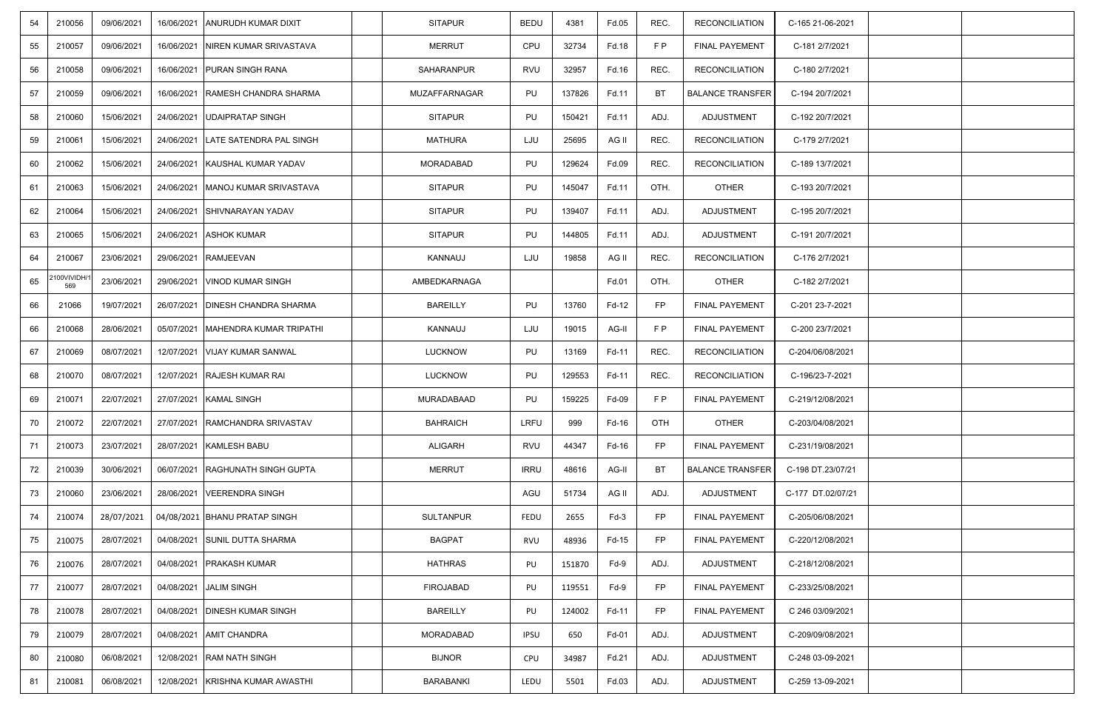| 54 | 210056             | 09/06/2021 | 16/06/2021 | <b>ANURUDH KUMAR DIXIT</b>         | <b>SITAPUR</b>   | <b>BEDU</b> | 4381   | Fd.05  | REC.      | <b>RECONCILIATION</b>   | C-165 21-06-2021  |  |
|----|--------------------|------------|------------|------------------------------------|------------------|-------------|--------|--------|-----------|-------------------------|-------------------|--|
| 55 | 210057             | 09/06/2021 | 16/06/2021 | NIREN KUMAR SRIVASTAVA             | <b>MERRUT</b>    | CPU         | 32734  | Fd.18  | F P       | <b>FINAL PAYEMENT</b>   | C-181 2/7/2021    |  |
| 56 | 210058             | 09/06/2021 | 16/06/2021 | <b>PURAN SINGH RANA</b>            | SAHARANPUR       | <b>RVU</b>  | 32957  | Fd.16  | REC.      | <b>RECONCILIATION</b>   | C-180 2/7/2021    |  |
| 57 | 210059             | 09/06/2021 | 16/06/2021 | <b>RAMESH CHANDRA SHARMA</b>       | MUZAFFARNAGAR    | PU          | 137826 | Fd.11  | BT        | <b>BALANCE TRANSFER</b> | C-194 20/7/2021   |  |
| 58 | 210060             | 15/06/2021 | 24/06/2021 | <b>UDAIPRATAP SINGH</b>            | <b>SITAPUR</b>   | PU          | 150421 | Fd.11  | ADJ.      | ADJUSTMENT              | C-192 20/7/2021   |  |
| 59 | 210061             | 15/06/2021 |            | 24/06/2021 LATE SATENDRA PAL SINGH | <b>MATHURA</b>   | LJU         | 25695  | AG II  | REC.      | <b>RECONCILIATION</b>   | C-179 2/7/2021    |  |
| 60 | 210062             | 15/06/2021 |            | 24/06/2021 KAUSHAL KUMAR YADAV     | <b>MORADABAD</b> | PU          | 129624 | Fd.09  | REC.      | RECONCILIATION          | C-189 13/7/2021   |  |
| 61 | 210063             | 15/06/2021 | 24/06/2021 | MANOJ KUMAR SRIVASTAVA             | <b>SITAPUR</b>   | PU          | 145047 | Fd.11  | OTH.      | <b>OTHER</b>            | C-193 20/7/2021   |  |
| 62 | 210064             | 15/06/2021 | 24/06/2021 | SHIVNARAYAN YADAV                  | <b>SITAPUR</b>   | PU          | 139407 | Fd.11  | ADJ.      | ADJUSTMENT              | C-195 20/7/2021   |  |
| 63 | 210065             | 15/06/2021 |            | 24/06/2021 ASHOK KUMAR             | <b>SITAPUR</b>   | PU          | 144805 | Fd.11  | ADJ.      | ADJUSTMENT              | C-191 20/7/2021   |  |
| 64 | 210067             | 23/06/2021 | 29/06/2021 | <b>RAMJEEVAN</b>                   | KANNAUJ          | LJU         | 19858  | AG II  | REC.      | <b>RECONCILIATION</b>   | C-176 2/7/2021    |  |
| 65 | :100VIVIDH/<br>569 | 23/06/2021 |            | 29/06/2021   VINOD KUMAR SINGH     | AMBEDKARNAGA     |             |        | Fd.01  | OTH.      | <b>OTHER</b>            | C-182 2/7/2021    |  |
| 66 | 21066              | 19/07/2021 | 26/07/2021 | <b>DINESH CHANDRA SHARMA</b>       | <b>BAREILLY</b>  | PU          | 13760  | Fd-12  | <b>FP</b> | <b>FINAL PAYEMENT</b>   | C-201 23-7-2021   |  |
| 66 | 210068             | 28/06/2021 | 05/07/2021 | MAHENDRA KUMAR TRIPATHI            | KANNAUJ          | LJU         | 19015  | AG-II  | F P       | FINAL PAYEMENT          | C-200 23/7/2021   |  |
| 67 | 210069             | 08/07/2021 | 12/07/2021 | VIJAY KUMAR SANWAL                 | <b>LUCKNOW</b>   | PU          | 13169  | Fd-11  | REC.      | <b>RECONCILIATION</b>   | C-204/06/08/2021  |  |
| 68 | 210070             | 08/07/2021 | 12/07/2021 | <b>RAJESH KUMAR RAI</b>            | <b>LUCKNOW</b>   | PU          | 129553 | Fd-11  | REC.      | <b>RECONCILIATION</b>   | C-196/23-7-2021   |  |
| 69 | 210071             | 22/07/2021 | 27/07/2021 | <b>KAMAL SINGH</b>                 | MURADABAAD       | PU          | 159225 | Fd-09  | F P       | FINAL PAYEMENT          | C-219/12/08/2021  |  |
| 70 | 210072             | 22/07/2021 |            | 27/07/2021 RAMCHANDRA SRIVASTAV    | <b>BAHRAICH</b>  | LRFU        | 999    | Fd-16  | OTH       | <b>OTHER</b>            | C-203/04/08/2021  |  |
| 71 | 210073             | 23/07/2021 |            | 28/07/2021   KAMLESH BABU          | <b>ALIGARH</b>   | <b>RVU</b>  | 44347  | Fd-16  | <b>FP</b> | FINAL PAYEMENT          | C-231/19/08/2021  |  |
| 72 | 210039             | 30/06/2021 | 06/07/2021 | <b>RAGHUNATH SINGH GUPTA</b>       | <b>MERRUT</b>    | <b>IRRU</b> | 48616  | AG-II  | BT        | <b>BALANCE TRANSFER</b> | C-198 DT.23/07/21 |  |
| 73 | 210060             | 23/06/2021 | 28/06/2021 | VEERENDRA SINGH                    |                  | AGU         | 51734  | AG II  | ADJ.      | ADJUSTMENT              | C-177 DT.02/07/21 |  |
| 74 | 210074             | 28/07/2021 |            | 04/08/2021 BHANU PRATAP SINGH      | <b>SULTANPUR</b> | FEDU        | 2655   | $Fd-3$ | <b>FP</b> | FINAL PAYEMENT          | C-205/06/08/2021  |  |
| 75 | 210075             | 28/07/2021 | 04/08/2021 | <b>SUNIL DUTTA SHARMA</b>          | <b>BAGPAT</b>    | RVU         | 48936  | Fd-15  | FP        | <b>FINAL PAYEMENT</b>   | C-220/12/08/2021  |  |
| 76 | 210076             | 28/07/2021 | 04/08/2021 | <b>PRAKASH KUMAR</b>               | <b>HATHRAS</b>   | PU          | 151870 | $Fd-9$ | ADJ.      | ADJUSTMENT              | C-218/12/08/2021  |  |
| 77 | 210077             | 28/07/2021 |            | 04/08/2021 JALIM SINGH             | <b>FIROJABAD</b> | PU          | 119551 | $Fd-9$ | <b>FP</b> | FINAL PAYEMENT          | C-233/25/08/2021  |  |
| 78 | 210078             | 28/07/2021 | 04/08/2021 | <b>DINESH KUMAR SINGH</b>          | <b>BAREILLY</b>  | PU          | 124002 | Fd-11  | FP        | FINAL PAYEMENT          | C 246 03/09/2021  |  |
| 79 | 210079             | 28/07/2021 |            | 04/08/2021 AMIT CHANDRA            | MORADABAD        | <b>IPSU</b> | 650    | Fd-01  | ADJ.      | ADJUSTMENT              | C-209/09/08/2021  |  |
| 80 | 210080             | 06/08/2021 |            | 12/08/2021 RAM NATH SINGH          | <b>BIJNOR</b>    | CPU         | 34987  | Fd.21  | ADJ.      | ADJUSTMENT              | C-248 03-09-2021  |  |
| 81 | 210081             | 06/08/2021 | 12/08/2021 | KRISHNA KUMAR AWASTHI              | <b>BARABANKI</b> | LEDU        | 5501   | Fd.03  | ADJ.      | ADJUSTMENT              | C-259 13-09-2021  |  |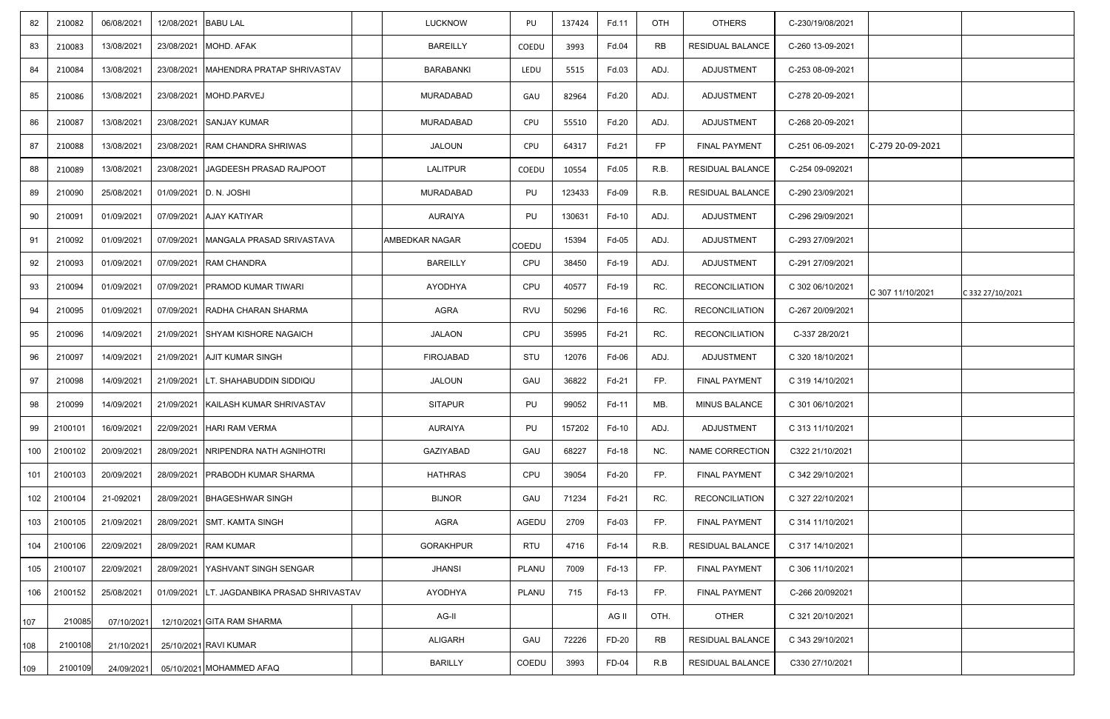| 82  | 210082  | 06/08/2021 | 12/08/2021 BABU LAL |                                             | LUCKNOW               | PU         | 137424 | Fd.11 | <b>OTH</b> | <b>OTHERS</b>           | C-230/19/08/2021 |                  |                  |
|-----|---------|------------|---------------------|---------------------------------------------|-----------------------|------------|--------|-------|------------|-------------------------|------------------|------------------|------------------|
| 83  | 210083  | 13/08/2021 |                     | 23/08/2021 MOHD. AFAK                       | <b>BAREILLY</b>       | COEDU      | 3993   | Fd.04 | <b>RB</b>  | <b>RESIDUAL BALANCE</b> | C-260 13-09-2021 |                  |                  |
| 84  | 210084  | 13/08/2021 |                     | 23/08/2021   MAHENDRA PRATAP SHRIVASTAV     | BARABANKI             | LEDU       | 5515   | Fd.03 | ADJ.       | ADJUSTMENT              | C-253 08-09-2021 |                  |                  |
| 85  | 210086  | 13/08/2021 |                     | 23/08/2021 MOHD.PARVEJ                      | <b>MURADABAD</b>      | GAU        | 82964  | Fd.20 | ADJ.       | ADJUSTMENT              | C-278 20-09-2021 |                  |                  |
| 86  | 210087  | 13/08/2021 |                     | 23/08/2021 SANJAY KUMAR                     | <b>MURADABAD</b>      | <b>CPU</b> | 55510  | Fd.20 | ADJ.       | ADJUSTMENT              | C-268 20-09-2021 |                  |                  |
| 87  | 210088  | 13/08/2021 |                     | 23/08/2021 RAM CHANDRA SHRIWAS              | JALOUN                | CPU        | 64317  | Fd.21 | <b>FP</b>  | <b>FINAL PAYMENT</b>    | C-251 06-09-2021 | C-279 20-09-2021 |                  |
| 88  | 210089  | 13/08/2021 |                     | 23/08/2021 JAGDEESH PRASAD RAJPOOT          | LALITPUR              | COEDU      | 10554  | Fd.05 | R.B.       | RESIDUAL BALANCE        | C-254 09-092021  |                  |                  |
| 89  | 210090  | 25/08/2021 |                     | 01/09/2021 D. N. JOSHI                      | MURADABAD             | PU         | 123433 | Fd-09 | R.B.       | RESIDUAL BALANCE        | C-290 23/09/2021 |                  |                  |
| 90  | 210091  | 01/09/2021 |                     | 07/09/2021 AJAY KATIYAR                     | AURAIYA               | PU         | 130631 | Fd-10 | ADJ.       | ADJUSTMENT              | C-296 29/09/2021 |                  |                  |
| 91  | 210092  | 01/09/2021 |                     | 07/09/2021   MANGALA PRASAD SRIVASTAVA      | <b>AMBEDKAR NAGAR</b> | COEDU      | 15394  | Fd-05 | ADJ.       | ADJUSTMENT              | C-293 27/09/2021 |                  |                  |
| 92  | 210093  | 01/09/2021 |                     | 07/09/2021 RAM CHANDRA                      | <b>BAREILLY</b>       | CPU        | 38450  | Fd-19 | ADJ.       | <b>ADJUSTMENT</b>       | C-291 27/09/2021 |                  |                  |
| 93  | 210094  | 01/09/2021 |                     | 07/09/2021   PRAMOD KUMAR TIWARI            | AYODHYA               | CPU        | 40577  | Fd-19 | RC.        | <b>RECONCILIATION</b>   | C 302 06/10/2021 | C 307 11/10/2021 | C 332 27/10/2021 |
| 94  | 210095  | 01/09/2021 |                     | 07/09/2021 RADHA CHARAN SHARMA              | AGRA                  | <b>RVU</b> | 50296  | Fd-16 | RC.        | <b>RECONCILIATION</b>   | C-267 20/09/2021 |                  |                  |
| 95  | 210096  | 14/09/2021 |                     | 21/09/2021 SHYAM KISHORE NAGAICH            | <b>JALAON</b>         | CPU        | 35995  | Fd-21 | RC.        | <b>RECONCILIATION</b>   | C-337 28/20/21   |                  |                  |
| 96  | 210097  | 14/09/2021 |                     | 21/09/2021 AJIT KUMAR SINGH                 | <b>FIROJABAD</b>      | STU        | 12076  | Fd-06 | ADJ.       | ADJUSTMENT              | C 320 18/10/2021 |                  |                  |
| 97  | 210098  | 14/09/2021 |                     | 21/09/2021 LT. SHAHABUDDIN SIDDIQU          | JALOUN                | GAU        | 36822  | Fd-21 | FP.        | <b>FINAL PAYMENT</b>    | C 319 14/10/2021 |                  |                  |
| 98  | 210099  | 14/09/2021 |                     | 21/09/2021 KAILASH KUMAR SHRIVASTAV         | <b>SITAPUR</b>        | PU         | 99052  | Fd-11 | MB.        | <b>MINUS BALANCE</b>    | C 301 06/10/2021 |                  |                  |
| 99  | 2100101 | 16/09/2021 | 22/09/2021          | <b>HARI RAM VERMA</b>                       | <b>AURAIYA</b>        | PU         | 157202 | Fd-10 | ADJ.       | ADJUSTMENT              | C 313 11/10/2021 |                  |                  |
| 100 | 2100102 | 20/09/2021 |                     | 28/09/2021 NRIPENDRA NATH AGNIHOTRI         | <b>GAZIYABAD</b>      | GAU        | 68227  | Fd-18 | NC.        | NAME CORRECTION         | C322 21/10/2021  |                  |                  |
| 101 | 2100103 | 20/09/2021 |                     | 28/09/2021 PRABODH KUMAR SHARMA             | <b>HATHRAS</b>        | CPU        | 39054  | Fd-20 | FP.        | <b>FINAL PAYMENT</b>    | C 342 29/10/2021 |                  |                  |
| 102 | 2100104 | 21-092021  |                     | 28/09/2021 BHAGESHWAR SINGH                 | <b>BIJNOR</b>         | GAU        | 71234  | Fd-21 | RC.        | <b>RECONCILIATION</b>   | C 327 22/10/2021 |                  |                  |
| 103 | 2100105 | 21/09/2021 |                     | 28/09/2021 SMT. KAMTA SINGH                 | AGRA                  | AGEDU      | 2709   | Fd-03 | FP.        | <b>FINAL PAYMENT</b>    | C 314 11/10/2021 |                  |                  |
| 104 | 2100106 | 22/09/2021 |                     | 28/09/2021 RAM KUMAR                        | <b>GORAKHPUR</b>      | <b>RTU</b> | 4716   | Fd-14 | R.B.       | RESIDUAL BALANCE        | C 317 14/10/2021 |                  |                  |
| 105 | 2100107 | 22/09/2021 |                     | 28/09/2021 YASHVANT SINGH SENGAR            | <b>JHANSI</b>         | PLANU      | 7009   | Fd-13 | FP.        | <b>FINAL PAYMENT</b>    | C 306 11/10/2021 |                  |                  |
| 106 | 2100152 | 25/08/2021 |                     | 01/09/2021 LT. JAGDANBIKA PRASAD SHRIVASTAV | AYODHYA               | PLANU      | 715    | Fd-13 | FP.        | <b>FINAL PAYMENT</b>    | C-266 20/092021  |                  |                  |
| 107 | 210085  | 07/10/2021 |                     | 12/10/2021 GITA RAM SHARMA                  | AG-II                 |            |        | AG II | OTH.       | <b>OTHER</b>            | C 321 20/10/2021 |                  |                  |
| 108 | 2100108 | 21/10/2021 |                     | 25/10/2021 RAVI KUMAR                       | <b>ALIGARH</b>        | GAU        | 72226  | FD-20 | <b>RB</b>  | RESIDUAL BALANCE        | C 343 29/10/2021 |                  |                  |
| 109 | 2100109 | 24/09/2021 |                     | 05/10/2021 MOHAMMED AFAQ                    | <b>BARILLY</b>        | COEDU      | 3993   | FD-04 | R.B        | RESIDUAL BALANCE        | C330 27/10/2021  |                  |                  |